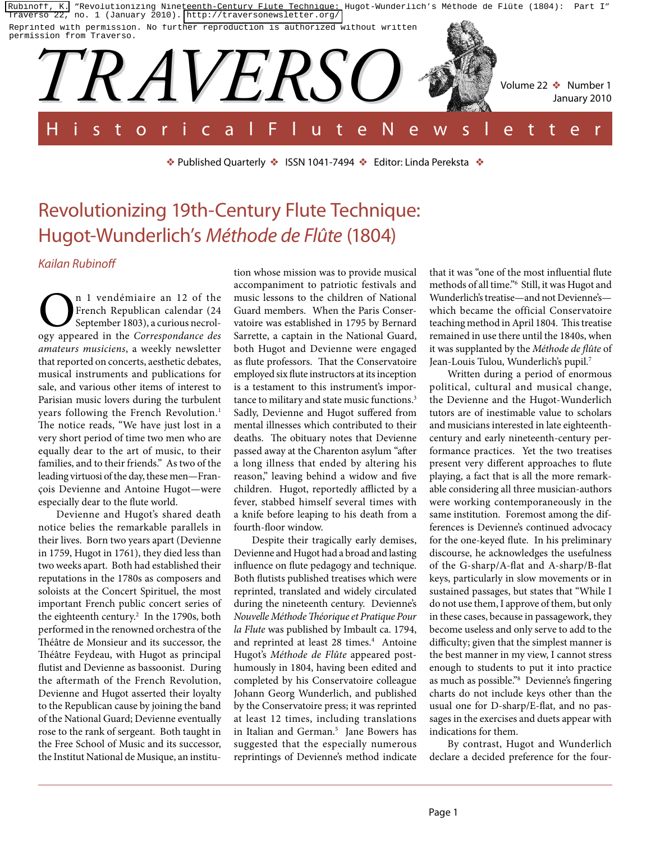[Rubinoff, K.](http://libres.uncg.edu/ir/uncg/clist.aspx?id=4054) "Revolutionizing Nineteenth-Century Flute Technique: Hugot-Wunderlich's Méthode de Flûte (1804): Part I" Traverso 22, no. 1 (January 2010).<http://traversonewsletter.org/> Reprinted with permission. No further reproduction is authorized without written



❖ Published Quarterly ❖ ISSN 1041-7494 ❖ Editor: Linda Pereksta ❖

# Revolutionizing 19th-Century Flute Technique: Hugot-Wunderlich's *Méthode de Flûte* (1804)

*Kailan Rubinoff*

n 1 vendémiaire an 12 of the French Republican calendar (24 September 1803), a curious necrology appeared in the *Correspondance des amateurs musiciens*, a weekly newsletter that reported on concerts, aesthetic debates, musical instruments and publications for sale, and various other items of interest to Parisian music lovers during the turbulent years following the French Revolution.<sup>1</sup> The notice reads, "We have just lost in a very short period of time two men who are equally dear to the art of music, to their families, and to their friends." As two of the leading virtuosi of the day, these men—François Devienne and Antoine Hugot—were especially dear to the flute world.

Devienne and Hugot's shared death notice belies the remarkable parallels in their lives. Born two years apart (Devienne in 1759, Hugot in 1761), they died less than two weeks apart. Both had established their reputations in the 1780s as composers and soloists at the Concert Spirituel, the most important French public concert series of the eighteenth century.2 In the 1790s, both performed in the renowned orchestra of the Théâtre de Monsieur and its successor, the Théâtre Feydeau, with Hugot as principal flutist and Devienne as bassoonist. During the aftermath of the French Revolution, Devienne and Hugot asserted their loyalty to the Republican cause by joining the band of the National Guard; Devienne eventually rose to the rank of sergeant. Both taught in the Free School of Music and its successor, the Institut National de Musique, an institu-

tion whose mission was to provide musical accompaniment to patriotic festivals and music lessons to the children of National Guard members. When the Paris Conservatoire was established in 1795 by Bernard Sarrette, a captain in the National Guard, both Hugot and Devienne were engaged as flute professors. That the Conservatoire employed six flute instructors at its inception is a testament to this instrument's importance to military and state music functions.<sup>3</sup> Sadly, Devienne and Hugot suffered from mental illnesses which contributed to their deaths. The obituary notes that Devienne passed away at the Charenton asylum "after a long illness that ended by altering his reason," leaving behind a widow and five children. Hugot, reportedly afflicted by a fever, stabbed himself several times with a knife before leaping to his death from a fourth-floor window.

Despite their tragically early demises, Devienne and Hugot had a broad and lasting influence on flute pedagogy and technique. Both flutists published treatises which were reprinted, translated and widely circulated during the nineteenth century. Devienne's *Nouvelle Méthode Théorique et Pratique Pour la Flute* was published by Imbault ca. 1794, and reprinted at least 28 times.<sup>4</sup> Antoine Hugot's *Méthode de Flûte* appeared posthumously in 1804, having been edited and completed by his Conservatoire colleague Johann Georg Wunderlich, and published by the Conservatoire press; it was reprinted at least 12 times, including translations in Italian and German.5 Jane Bowers has suggested that the especially numerous reprintings of Devienne's method indicate

that it was "one of the most influential flute methods of all time."6 Still, it was Hugot and Wunderlich's treatise—and not Devienne's which became the official Conservatoire teaching method in April 1804. This treatise remained in use there until the 1840s, when it was supplanted by the *Méthode de flûte* of Jean-Louis Tulou, Wunderlich's pupil.7

Written during a period of enormous political, cultural and musical change, the Devienne and the Hugot-Wunderlich tutors are of inestimable value to scholars and musicians interested in late eighteenthcentury and early nineteenth-century performance practices. Yet the two treatises present very different approaches to flute playing, a fact that is all the more remarkable considering all three musician-authors were working contemporaneously in the same institution. Foremost among the differences is Devienne's continued advocacy for the one-keyed flute. In his preliminary discourse, he acknowledges the usefulness of the G-sharp/A-flat and A-sharp/B-flat keys, particularly in slow movements or in sustained passages, but states that "While I do not use them, I approve of them, but only in these cases, because in passagework, they become useless and only serve to add to the difficulty; given that the simplest manner is the best manner in my view, I cannot stress enough to students to put it into practice as much as possible."8 Devienne's fingering charts do not include keys other than the usual one for D-sharp/E-flat, and no passages in the exercises and duets appear with indications for them.

By contrast, Hugot and Wunderlich declare a decided preference for the four-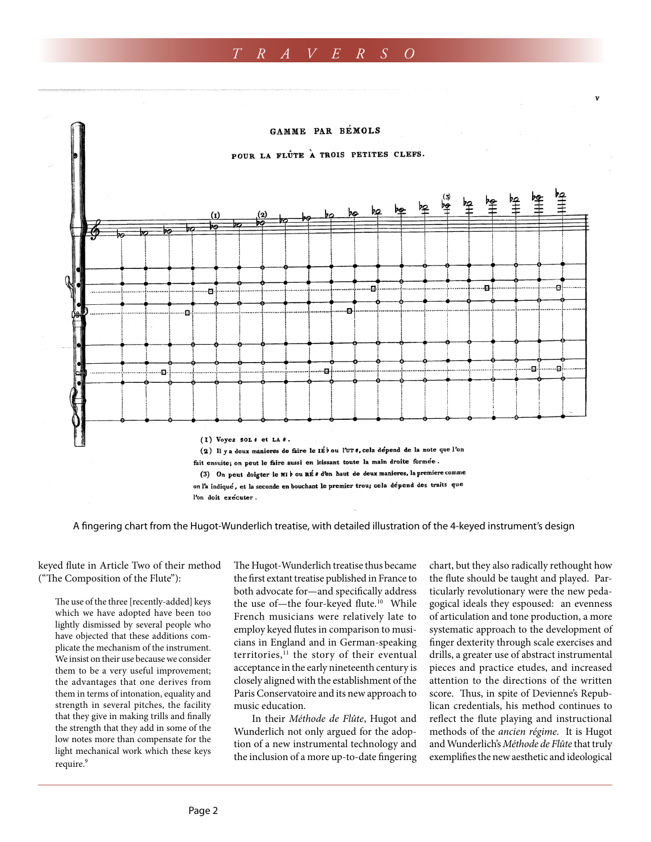# *T R A V E R S O*



A fingering chart from the Hugot-Wunderlich treatise, with detailed illustration of the 4-keyed instrument's design

keyed flute in Article Two of their method ("The Composition of the Flute"):

The use of the three [recently-added] keys which we have adopted have been too lightly dismissed by several people who have objected that these additions complicate the mechanism of the instrument. We insist on their use because we consider them to be a very useful improvement; the advantages that one derives from them in terms of intonation, equality and strength in several pitches, the facility that they give in making trills and finally the strength that they add in some of the low notes more than compensate for the light mechanical work which these keys require.<sup>9</sup>

The Hugot-Wunderlich treatise thus became the first extant treatise published in France to both advocate for—and specifically address the use of-the four-keyed flute.<sup>10</sup> While French musicians were relatively late to employ keyed flutes in comparison to musicians in England and in German-speaking territories,<sup>11</sup> the story of their eventual acceptance in the early nineteenth century is closely aligned with the establishment of the Paris Conservatoire and its new approach to music education.

In their *Méthode de Flûte*, Hugot and Wunderlich not only argued for the adoption of a new instrumental technology and the inclusion of a more up-to-date fingering chart, but they also radically rethought how the flute should be taught and played. Particularly revolutionary were the new pedagogical ideals they espoused: an evenness of articulation and tone production, a more systematic approach to the development of finger dexterity through scale exercises and drills, a greater use of abstract instrumental pieces and practice etudes, and increased attention to the directions of the written score. Thus, in spite of Devienne's Republican credentials, his method continues to reflect the flute playing and instructional methods of the *ancien régime*. It is Hugot and Wunderlich's *Méthode de Flûte* that truly exemplifies the new aesthetic and ideological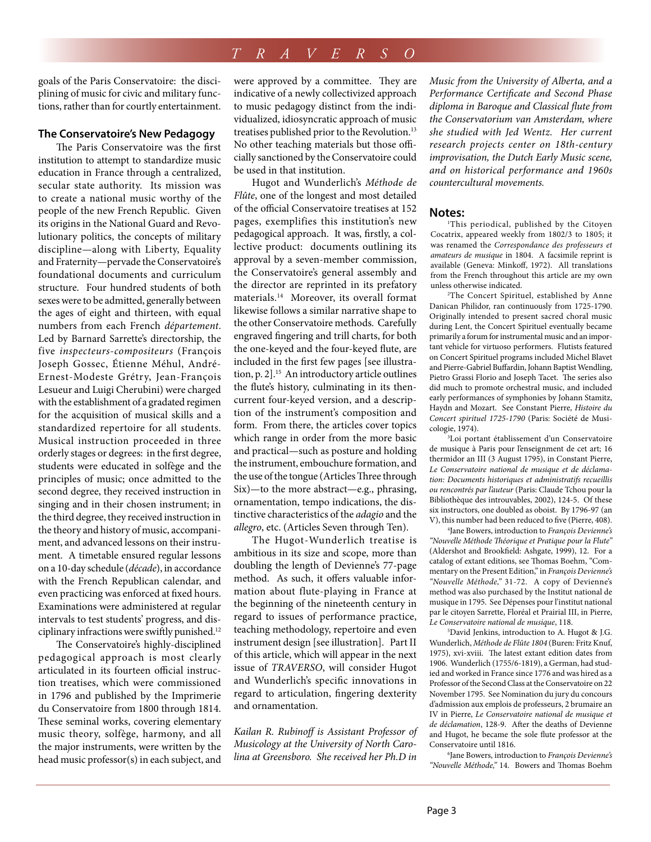# *T R A V E R S O*

goals of the Paris Conservatoire: the disciplining of music for civic and military functions, rather than for courtly entertainment.

### **The Conservatoire's New Pedagogy**

The Paris Conservatoire was the first institution to attempt to standardize music education in France through a centralized, secular state authority. Its mission was to create a national music worthy of the people of the new French Republic. Given its origins in the National Guard and Revolutionary politics, the concepts of military discipline—along with Liberty, Equality and Fraternity—pervade the Conservatoire's foundational documents and curriculum structure. Four hundred students of both sexes were to be admitted, generally between the ages of eight and thirteen, with equal numbers from each French *département*. Led by Barnard Sarrette's directorship, the five *inspecteurs-compositeurs* (François Joseph Gossec, Étienne Méhul, André-Ernest-Modeste Grétry, Jean-François Lesueur and Luigi Cherubini) were charged with the establishment of a gradated regimen for the acquisition of musical skills and a standardized repertoire for all students. Musical instruction proceeded in three orderly stages or degrees: in the first degree, students were educated in solfège and the principles of music; once admitted to the second degree, they received instruction in singing and in their chosen instrument; in the third degree, they received instruction in the theory and history of music, accompaniment, and advanced lessons on their instrument. A timetable ensured regular lessons on a 10-day schedule (*décade*), in accordance with the French Republican calendar, and even practicing was enforced at fixed hours. Examinations were administered at regular intervals to test students' progress, and disciplinary infractions were swiftly punished.<sup>12</sup>

The Conservatoire's highly-disciplined pedagogical approach is most clearly articulated in its fourteen official instruction treatises, which were commissioned in 1796 and published by the Imprimerie du Conservatoire from 1800 through 1814. These seminal works, covering elementary music theory, solfège, harmony, and all the major instruments, were written by the head music professor(s) in each subject, and

were approved by a committee. They are indicative of a newly collectivized approach to music pedagogy distinct from the individualized, idiosyncratic approach of music treatises published prior to the Revolution.<sup>13</sup> No other teaching materials but those officially sanctioned by the Conservatoire could be used in that institution.

Hugot and Wunderlich's *Méthode de Flûte*, one of the longest and most detailed of the official Conservatoire treatises at 152 pages, exemplifies this institution's new pedagogical approach. It was, firstly, a collective product: documents outlining its approval by a seven-member commission, the Conservatoire's general assembly and the director are reprinted in its prefatory materials.14 Moreover, its overall format likewise follows a similar narrative shape to the other Conservatoire methods. Carefully engraved fingering and trill charts, for both the one-keyed and the four-keyed flute, are included in the first few pages [see illustration, p. 2].<sup>15</sup> An introductory article outlines the flute's history, culminating in its thencurrent four-keyed version, and a description of the instrument's composition and form. From there, the articles cover topics which range in order from the more basic and practical—such as posture and holding the instrument, embouchure formation, and the use of the tongue (Articles Three through Six)—to the more abstract—e.g., phrasing, ornamentation, tempo indications, the distinctive characteristics of the *adagio* and the *allegro*, etc. (Articles Seven through Ten).

The Hugot-Wunderlich treatise is ambitious in its size and scope, more than doubling the length of Devienne's 77-page method. As such, it offers valuable information about flute-playing in France at the beginning of the nineteenth century in regard to issues of performance practice, teaching methodology, repertoire and even instrument design [see illustration]. Part II of this article, which will appear in the next issue of *TRAVERSO*, will consider Hugot and Wunderlich's specific innovations in regard to articulation, fingering dexterity and ornamentation.

*Kailan R. Rubinoff is Assistant Professor of Musicology at the University of North Carolina at Greensboro. She received her Ph.D in*  *Music from the University of Alberta, and a Performance Certificate and Second Phase diploma in Baroque and Classical flute from the Conservatorium van Amsterdam, where she studied with Jed Wentz. Her current research projects center on 18th-century improvisation, the Dutch Early Music scene, and on historical performance and 1960s countercultural movements.*

#### **Notes:**

1 This periodical, published by the Citoyen Cocatrix, appeared weekly from 1802/3 to 1805; it was renamed the *Correspondance des professeurs et amateurs de musique* in 1804. A facsimile reprint is available (Geneva: Minkoff, 1972). All translations from the French throughout this article are my own unless otherwise indicated.

2 The Concert Spirituel, established by Anne Danican Philidor, ran continuously from 1725-1790. Originally intended to present sacred choral music during Lent, the Concert Spirituel eventually became primarily a forum for instrumental music and an important vehicle for virtuoso performers. Flutists featured on Concert Spirituel programs included Michel Blavet and Pierre-Gabriel Buffardin, Johann Baptist Wendling, Pietro Grassi Florio and Joseph Tacet. The series also did much to promote orchestral music, and included early performances of symphonies by Johann Stamitz, Haydn and Mozart. See Constant Pierre, *Histoire du Concert spirituel 1725-1790* (Paris: Société de Musicologie, 1974).

3 Loi portant établissement d'un Conservatoire de musique à Paris pour l'enseignment de cet art; 16 thermidor an III (3 August 1795), in Constant Pierre, *Le Conservatoire national de musique et de déclamation: Documents historiques et administratifs recueillis ou rencontrés par l'auteur* (Paris: Claude Tchou pour la Bibliothèque des introuvables, 2002), 124-5. Of these six instructors, one doubled as oboist. By 1796-97 (an V), this number had been reduced to five (Pierre, 408).

4 Jane Bowers, introduction to *François Devienne's "Nouvelle Méthode Théorique et Pratique pour la Flute"* (Aldershot and Brookfield: Ashgate, 1999), 12. For a catalog of extant editions, see Thomas Boehm, "Commentary on the Present Edition," in *François Devienne's "Nouvelle Méthode,"* 31-72. A copy of Devienne's method was also purchased by the Institut national de musique in 1795. See Dépenses pour l'institut national par le citoyen Sarrette, Floréal et Prairial III, in Pierre, *Le Conservatoire national de musique*, 118.

5 David Jenkins, introduction to A. Hugot & J.G. Wunderlich, *Méthode de Flûte 1804* (Buren: Fritz Knuf, 1975), xvi-xviii. The latest extant edition dates from 1906. Wunderlich (1755/6-1819), a German, had studied and worked in France since 1776 and was hired as a Professor of the Second Class at the Conservatoire on 22 November 1795. See Nomination du jury du concours d'admission aux emplois de professeurs, 2 brumaire an IV in Pierre, *Le Conservatoire national de musique et de déclamation*, 128-9. After the deaths of Devienne and Hugot, he became the sole flute professor at the Conservatoire until 1816.

6 Jane Bowers, introduction to *François Devienne's "Nouvelle Méthode,"* 14. Bowers and Thomas Boehm